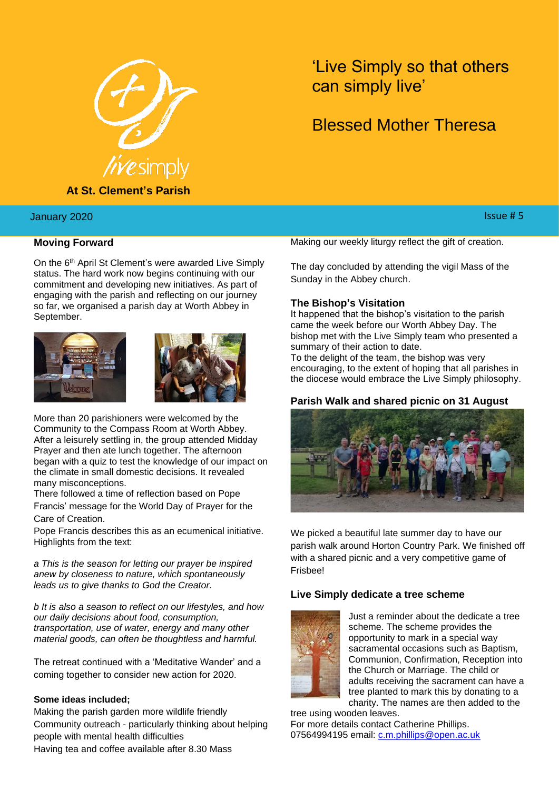

**At St. Clement's Parish**

# January 2020

## **Moving Forward**

On the 6th April St Clement's were awarded Live Simply status. The hard work now begins continuing with our commitment and developing new initiatives. As part of engaging with the parish and reflecting on our journey so far, we organised a parish day at Worth Abbey in September.





More than 20 parishioners were welcomed by the Community to the Compass Room at Worth Abbey. After a leisurely settling in, the group attended Midday Prayer and then ate lunch together. The afternoon began with a quiz to test the knowledge of our impact on the climate in small domestic decisions. It revealed many misconceptions.

There followed a time of reflection based on Pope Francis' message for the World Day of Prayer for the Care of Creation.

Pope Francis describes this as an ecumenical initiative. Highlights from the text:

*a This is the season for letting our prayer be inspired anew by closeness to nature, which spontaneously leads us to give thanks to God the Creator.*

*b It is also a season to reflect on our lifestyles, and how our daily decisions about food, consumption, transportation, use of water, energy and many other material goods, can often be thoughtless and harmful.*

The retreat continued with a 'Meditative Wander' and a coming together to consider new action for 2020.

#### **Some ideas included;**

Making the parish garden more wildlife friendly Community outreach - particularly thinking about helping people with mental health difficulties

Having tea and coffee available after 8.30 Mass

# 'Live Simply so that others can simply live'

# Blessed Mother Theresa

# ry 2020  $\,$  . Since the contract of the contract of the contract of the contract of the contract of the contract of the contract of the contract of the contract of the contract of the contract of the contract of the cont

Making our weekly liturgy reflect the gift of creation.

The day concluded by attending the vigil Mass of the Sunday in the Abbey church.

#### **The Bishop's Visitation**

It happened that the bishop's visitation to the parish came the week before our Worth Abbey Day. The bishop met with the Live Simply team who presented a summary of their action to date.

To the delight of the team, the bishop was very encouraging, to the extent of hoping that all parishes in the diocese would embrace the Live Simply philosophy.

## **Parish Walk and shared picnic on 31 August**



We picked a beautiful late summer day to have our parish walk around Horton Country Park. We finished off with a shared picnic and a very competitive game of Frisbee!

# **Live Simply dedicate a tree scheme**



Just a reminder about the dedicate a tree scheme. The scheme provides the opportunity to mark in a special way sacramental occasions such as Baptism, Communion, Confirmation, Reception into the Church or Marriage. The child or adults receiving the sacrament can have a tree planted to mark this by donating to a charity. The names are then added to the

tree using wooden leaves. For more details contact Catherine Phillips. 07564994195 email: [c.m.phillips@open.ac.uk](mailto:c.m.phillips@open.ac.uk)